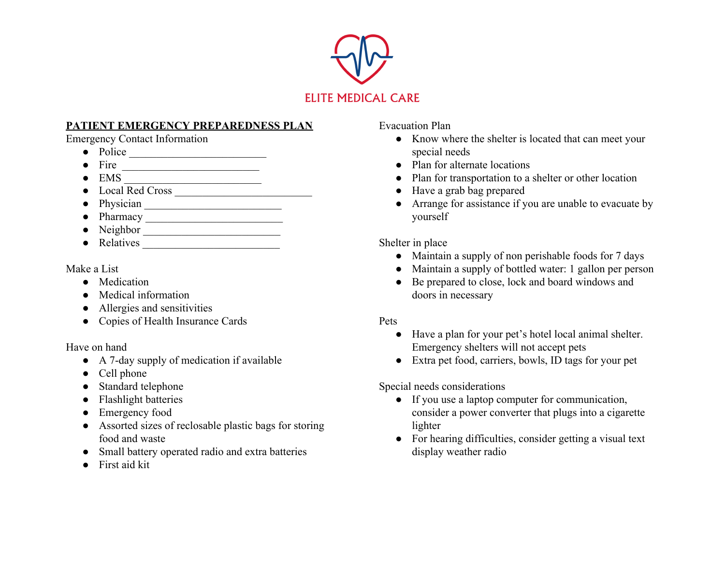

## **PATIENT EMERGENCY PREPAREDNESS PLAN**

Emergency Contact Information

- Police \_\_\_\_\_\_\_\_\_\_\_\_\_\_\_\_\_\_\_\_\_\_\_\_\_
- $\bullet$  Fire  $\_\_$
- EMS \_\_\_\_\_\_\_\_\_\_\_\_\_\_\_\_\_\_\_\_\_\_\_\_\_
- Local Red Cross \_\_\_\_\_\_\_\_\_\_\_\_\_\_\_\_\_\_\_\_\_\_\_\_\_
- $\bullet$  Physician  $\_\_\_\_\_\_\_\_\_\$
- Pharmacy \_\_\_\_\_\_\_\_\_\_\_\_\_\_\_\_\_\_\_\_\_\_\_\_\_
- Neighbor \_\_\_\_\_\_\_\_\_\_\_\_\_\_\_\_\_\_\_\_\_\_\_\_\_
- Relatives \_\_\_\_\_\_\_\_\_\_\_\_\_\_\_\_\_\_\_\_\_\_\_\_\_

Make a List

- Medication
- Medical information
- Allergies and sensitivities
- Copies of Health Insurance Cards

Have on hand

- A 7-day supply of medication if available
- Cell phone
- Standard telephone
- Flashlight batteries
- Emergency food
- Assorted sizes of reclosable plastic bags for storing food and waste
- Small battery operated radio and extra batteries
- First aid kit

Evacuation Plan

- Know where the shelter is located that can meet your special needs
- Plan for alternate locations
- Plan for transportation to a shelter or other location
- Have a grab bag prepared
- Arrange for assistance if you are unable to evacuate by yourself

Shelter in place

- Maintain a supply of non perishable foods for 7 days
- Maintain a supply of bottled water: 1 gallon per person
- Be prepared to close, lock and board windows and doors in necessary

## Pets

- Have a plan for your pet's hotel local animal shelter. Emergency shelters will not accept pets
- Extra pet food, carriers, bowls, ID tags for your pet

Special needs considerations

- If you use a laptop computer for communication, consider a power converter that plugs into a cigarette lighter
- For hearing difficulties, consider getting a visual text display weather radio